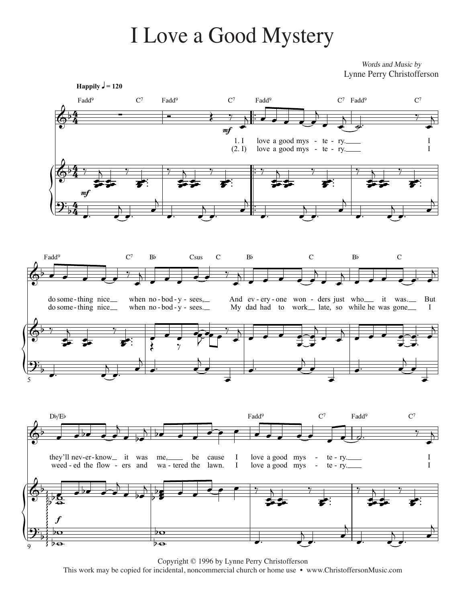## I Love a Good Mystery

Words and Music by Lynne Perry Christofferson



Copyright © 1996 by Lynne Perry Christofferson This work may be copied for incidental, noncommercial church or home use • www.ChristoffersonMusic.com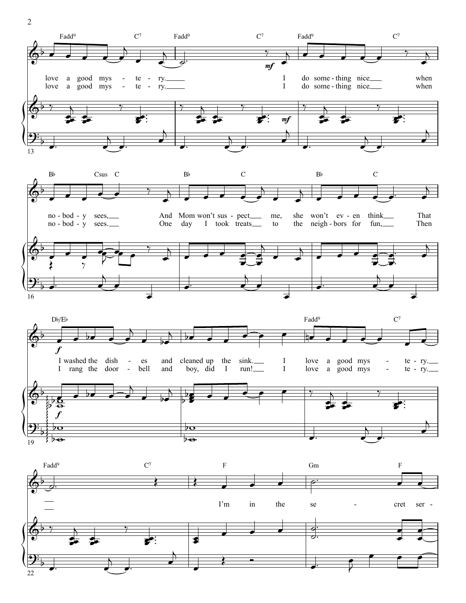